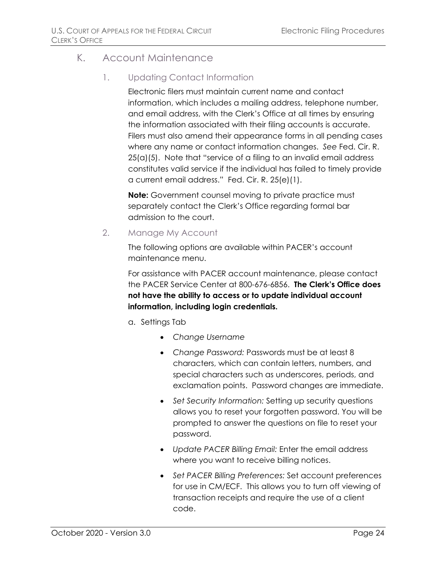## K. Account Maintenance

## 1. Updating Contact Information

Electronic filers must maintain current name and contact information, which includes a mailing address, telephone number, and email address, with the Clerk's Office at all times by ensuring the information associated with their filing accounts is accurate. Filers must also amend their appearance forms in all pending cases where any name or contact information changes. *See* Fed. Cir. R. 25(a)(5). Note that "service of a filing to an invalid email address constitutes valid service if the individual has failed to timely provide a current email address." Fed. Cir. R. 25(e)(1).

**Note:** Government counsel moving to private practice must separately contact the Clerk's Office regarding formal bar admission to the court.

## 2. Manage My Account

The following options are available within PACER's account maintenance menu.

For assistance with PACER account maintenance, please contact the PACER Service Center at 800-676-6856. **The Clerk's Office does not have the ability to access or to update individual account information, including login credentials.**

- a. Settings Tab
	- *Change Username*
	- *Change Password:* Passwords must be at least 8 characters, which can contain letters, numbers, and special characters such as underscores, periods, and exclamation points. Password changes are immediate.
	- *Set Security Information:* Setting up security questions allows you to reset your forgotten password. You will be prompted to answer the questions on file to reset your password.
	- *Update PACER Billing Email:* Enter the email address where you want to receive billing notices.
	- *Set PACER Billing Preferences:* Set account preferences for use in CM/ECF. This allows you to turn off viewing of transaction receipts and require the use of a client code.